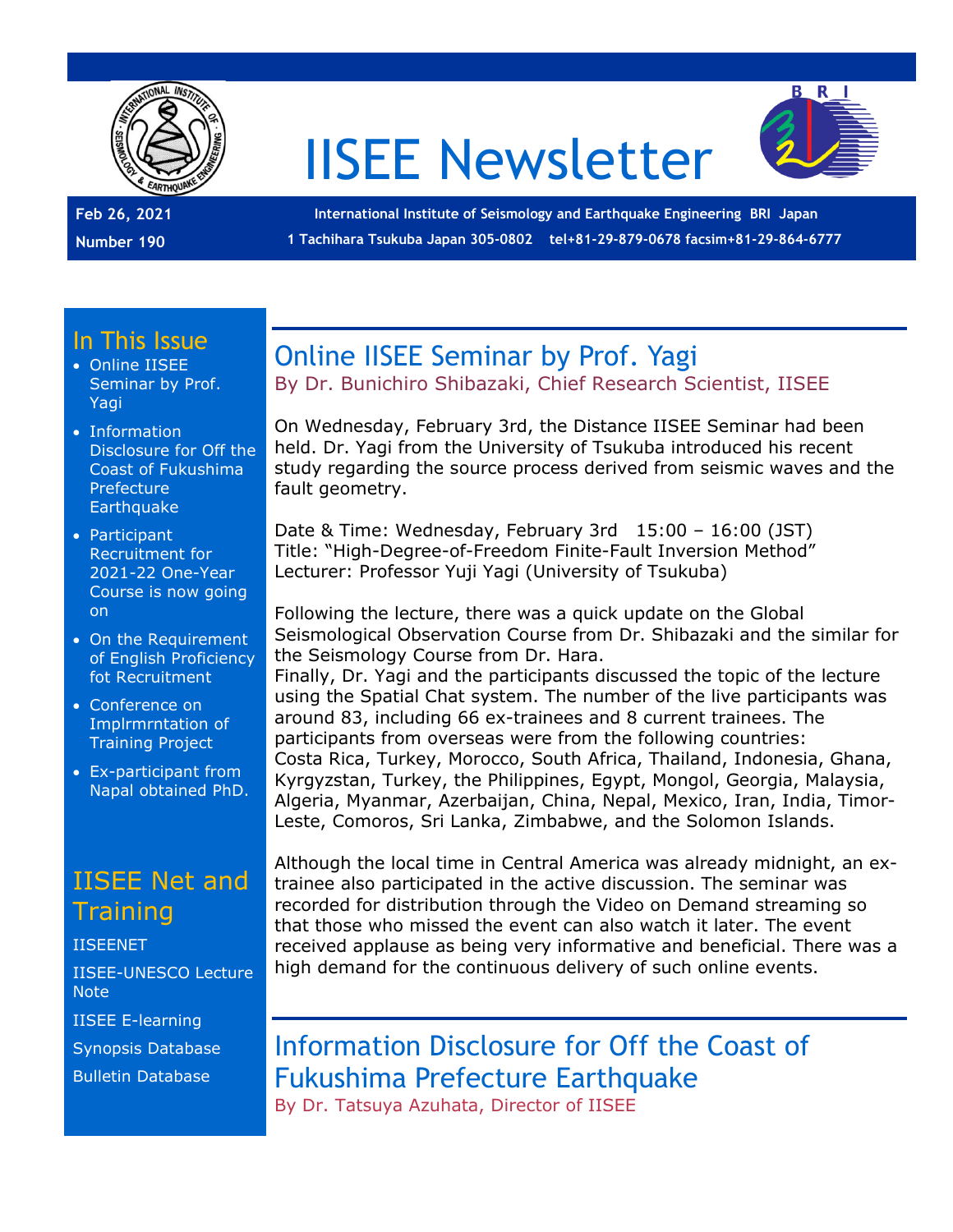

# IISEE Newsletter



**Feb 26, 2021 Number 190**

**International Institute of Seismology and Earthquake Engineering BRI Japan 1 Tachihara Tsukuba Japan 305-0802 tel+81-29-879-0678 facsim+81-29-864-6777**

#### In This Issue

- Online IISEE Seminar by Prof. Yagi
- Information Disclosure for Off the Coast of Fukushima Prefecture **Earthquake**
- Participant Recruitment for 2021-22 One-Year Course is now going on
- On the Requirement of English Proficiency fot Recruitment
- Conference on Implrmrntation of Training Project
- Ex-participant from Napal obtained PhD.

## IISEE Net and **Training**

#### [IISEENET](http://iisee.kenken.go.jp/net/)

[IISEE-UNESCO Lecture](http://iisee/lna/)  **[Note](http://iisee/lna/)** 

[IISEE E-learning](http://iisee/el/)

[Synopsis Database](http://iisee/syndb/)

[Bulletin Database](http://iisee/bltndb/)

## Online IISEE Seminar by Prof. Yagi

By Dr. Bunichiro Shibazaki, Chief Research Scientist, IISEE

On Wednesday, February 3rd, the Distance IISEE Seminar had been held. Dr. Yagi from the University of Tsukuba introduced his recent study regarding the source process derived from seismic waves and the fault geometry.

Date & Time: Wednesday, February 3rd 15:00 – 16:00 (JST) Title: "High-Degree-of-Freedom Finite-Fault Inversion Method" Lecturer: Professor Yuji Yagi (University of Tsukuba)

Following the lecture, there was a quick update on the Global Seismological Observation Course from Dr. Shibazaki and the similar for the Seismology Course from Dr. Hara.

Finally, Dr. Yagi and the participants discussed the topic of the lecture using the Spatial Chat system. The number of the live participants was around 83, including 66 ex-trainees and 8 current trainees. The participants from overseas were from the following countries: Costa Rica, Turkey, Morocco, South Africa, Thailand, Indonesia, Ghana, Kyrgyzstan, Turkey, the Philippines, Egypt, Mongol, Georgia, Malaysia, Algeria, Myanmar, Azerbaijan, China, Nepal, Mexico, Iran, India, Timor-Leste, Comoros, Sri Lanka, Zimbabwe, and the Solomon Islands.

Although the local time in Central America was already midnight, an extrainee also participated in the active discussion. The seminar was recorded for distribution through the Video on Demand streaming so that those who missed the event can also watch it later. The event received applause as being very informative and beneficial. There was a high demand for the continuous delivery of such online events.

#### Information Disclosure for Off the Coast of Fukushima Prefecture Earthquake By Dr. Tatsuya Azuhata, Director of IISEE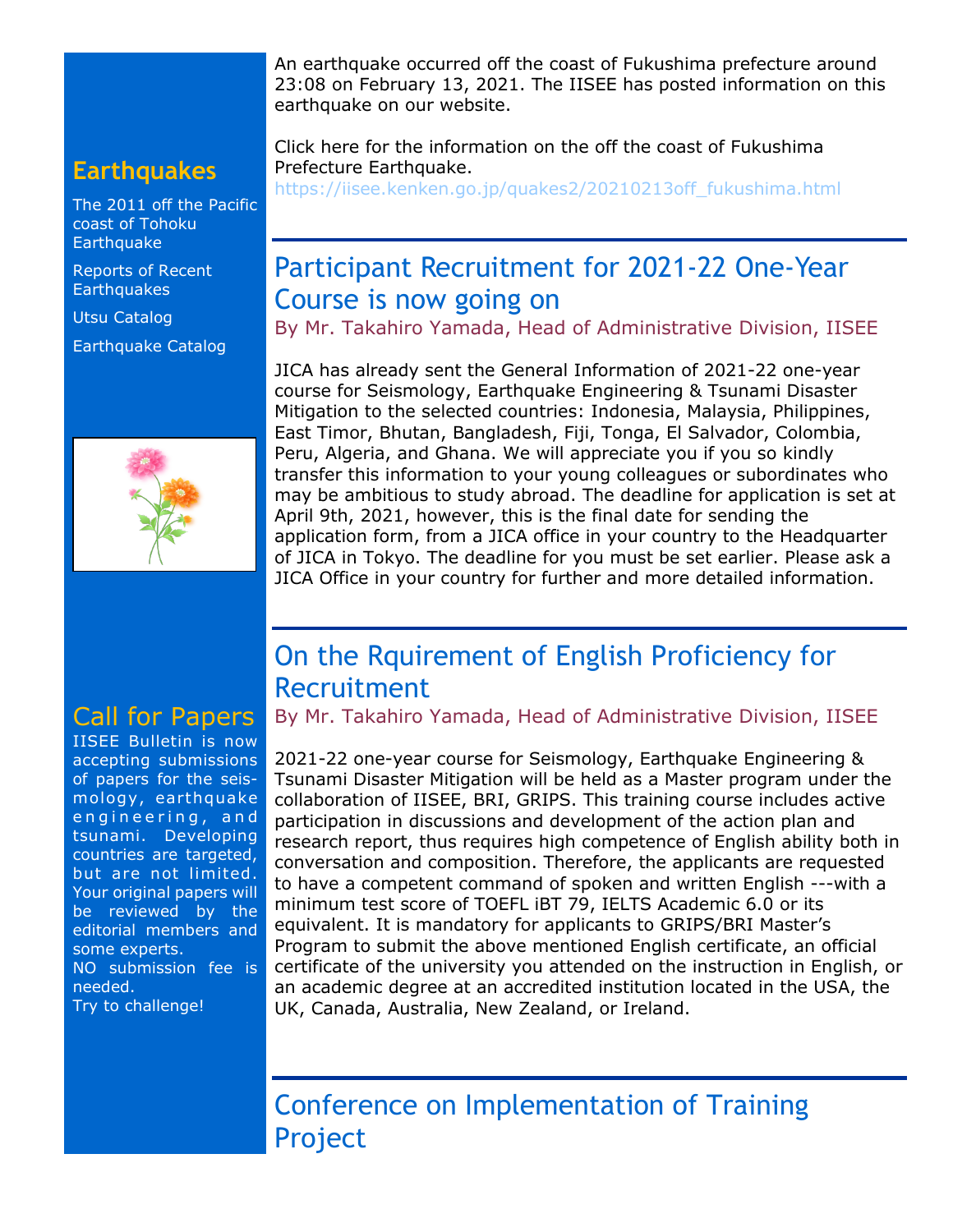An earthquake occurred off the coast of Fukushima prefecture around 23:08 on February 13, 2021. The IISEE has posted information on this earthquake on our website.

## **Earthquakes**

[The 2011 off the Pacific](http://iisee/special2/20110311tohoku.htm)  [coast of Tohoku](http://iisee/special2/20110311tohoku.htm)  **[Earthquake](http://iisee/special2/20110311tohoku.htm)** 

[Reports of Recent](http://iisee/quakes.htm)  **[Earthquakes](http://iisee/quakes.htm)** 

[Utsu Catalog](http://iisee/utsu/index_eng.html)

[Earthquake Catalog](http://iisee/eqcat/Top_page_en.htm)



## Call for Papers

IISEE Bulletin is now accepting submissions of papers for the seismology, earthquake engineering, and tsunami. Developing countries are targeted, but are not limited. Your original papers will be reviewed by the editorial members and some experts. NO submission fee is needed. Try to challenge!

Click here for the information on the off the coast of Fukushima Prefecture Earthquake.

[https://iisee.kenken.go.jp/quakes2/20210213off\\_fukushima.html](https://iisee.kenken.go.jp/quakes2/20210213off_fukushima.html)

## Participant Recruitment for 2021-22 One-Year Course is now going on

By Mr. Takahiro Yamada, Head of Administrative Division, IISEE

JICA has already sent the General Information of 2021-22 one-year course for Seismology, Earthquake Engineering & Tsunami Disaster Mitigation to the selected countries: Indonesia, Malaysia, Philippines, East Timor, Bhutan, Bangladesh, Fiji, Tonga, El Salvador, Colombia, Peru, Algeria, and Ghana. We will appreciate you if you so kindly transfer this information to your young colleagues or subordinates who may be ambitious to study abroad. The deadline for application is set at April 9th, 2021, however, this is the final date for sending the application form, from a JICA office in your country to the Headquarter of JICA in Tokyo. The deadline for you must be set earlier. Please ask a JICA Office in your country for further and more detailed information.

# On the Rquirement of English Proficiency for Recruitment

By Mr. Takahiro Yamada, Head of Administrative Division, IISEE

2021-22 one-year course for Seismology, Earthquake Engineering & Tsunami Disaster Mitigation will be held as a Master program under the collaboration of IISEE, BRI, GRIPS. This training course includes active participation in discussions and development of the action plan and research report, thus requires high competence of English ability both in conversation and composition. Therefore, the applicants are requested to have a competent command of spoken and written English ---with a minimum test score of TOEFL iBT 79, IELTS Academic 6.0 or its equivalent. It is mandatory for applicants to GRIPS/BRI Master's Program to submit the above mentioned English certificate, an official certificate of the university you attended on the instruction in English, or an academic degree at an accredited institution located in the USA, the UK, Canada, Australia, New Zealand, or Ireland.

Conference on Implementation of Training Project